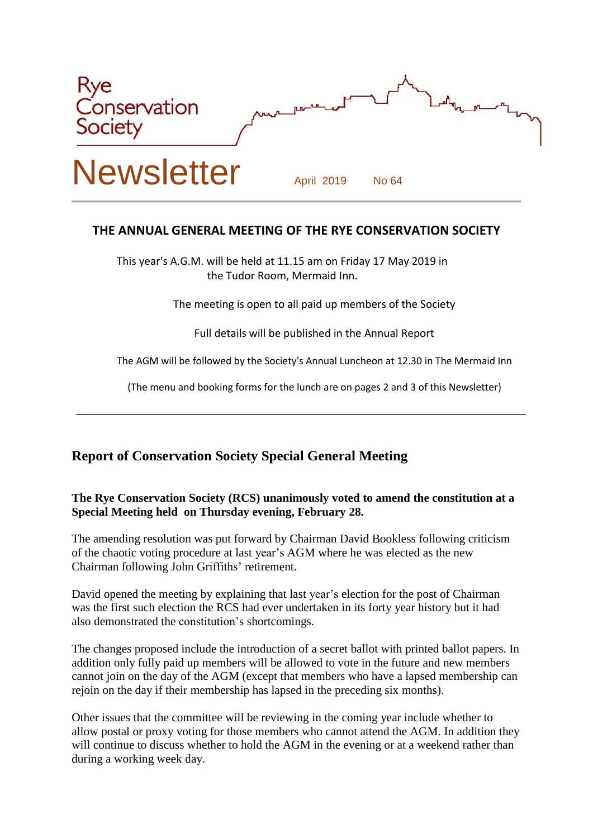

### **THE ANNUAL GENERAL MEETING OF THE RYE CONSERVATION SOCIETY**

This year's A.G.M. will be held at 11.15 am on Friday 17 May 2019 in the Tudor Room, Mermaid Inn.

The meeting is open to all paid up members of the Society

Full details will be published in the Annual Report

The AGM will be followed by the Society's Annual Luncheon at 12.30 in The Mermaid Inn

(The menu and booking forms for the lunch are on pages 2 and 3 of this Newsletter)

## **Report of Conservation Society Special General Meeting**

### **The Rye Conservation Society (RCS) unanimously voted to amend the constitution at a Special Meeting held on Thursday evening, February 28.**

The amending resolution was put forward by Chairman David Bookless following criticism of the chaotic voting procedure at last year's AGM where he was elected as the new Chairman following John Griffiths' retirement.

David opened the meeting by explaining that last year's election for the post of Chairman was the first such election the RCS had ever undertaken in its forty year history but it had also demonstrated the constitution's shortcomings.

The changes proposed include the introduction of a secret ballot with printed ballot papers. In addition only fully paid up members will be allowed to vote in the future and new members cannot join on the day of the AGM (except that members who have a lapsed membership can rejoin on the day if their membership has lapsed in the preceding six months).

Other issues that the committee will be reviewing in the coming year include whether to allow postal or proxy voting for those members who cannot attend the AGM. In addition they will continue to discuss whether to hold the AGM in the evening or at a weekend rather than during a working week day.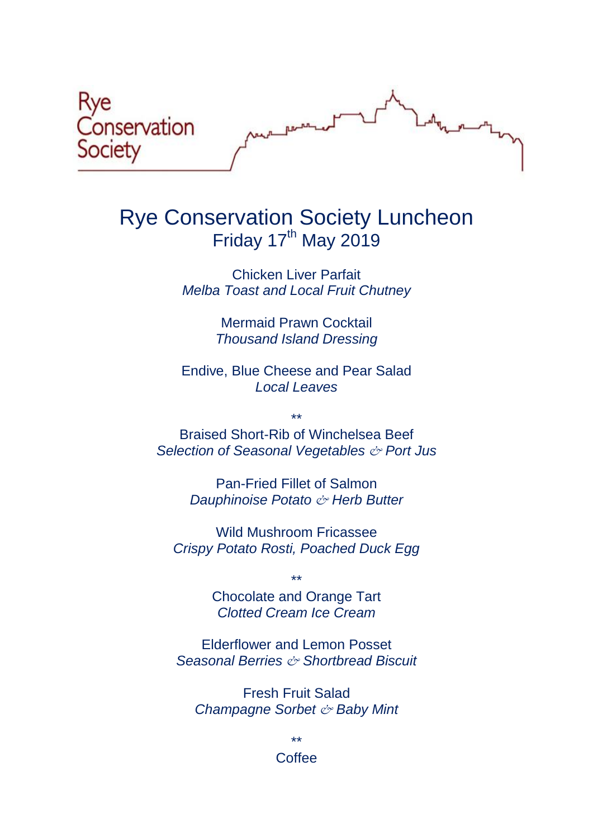

# Rye Conservation Society Luncheon Friday 17<sup>th</sup> May 2019

Chicken Liver Parfait *Melba Toast and Local Fruit Chutney*

> Mermaid Prawn Cocktail *Thousand Island Dressing*

Endive, Blue Cheese and Pear Salad *Local Leaves*

Braised Short-Rib of Winchelsea Beef *Selection of Seasonal Vegetables & Port Jus*

\*\*

Pan-Fried Fillet of Salmon *Dauphinoise Potato & Herb Butter*

Wild Mushroom Fricassee *Crispy Potato Rosti, Poached Duck Egg*

> \*\* Chocolate and Orange Tart *Clotted Cream Ice Cream*

Elderflower and Lemon Posset *Seasonal Berries & Shortbread Biscuit*

Fresh Fruit Salad *Champagne Sorbet & Baby Mint*

\*\*

**Coffee**